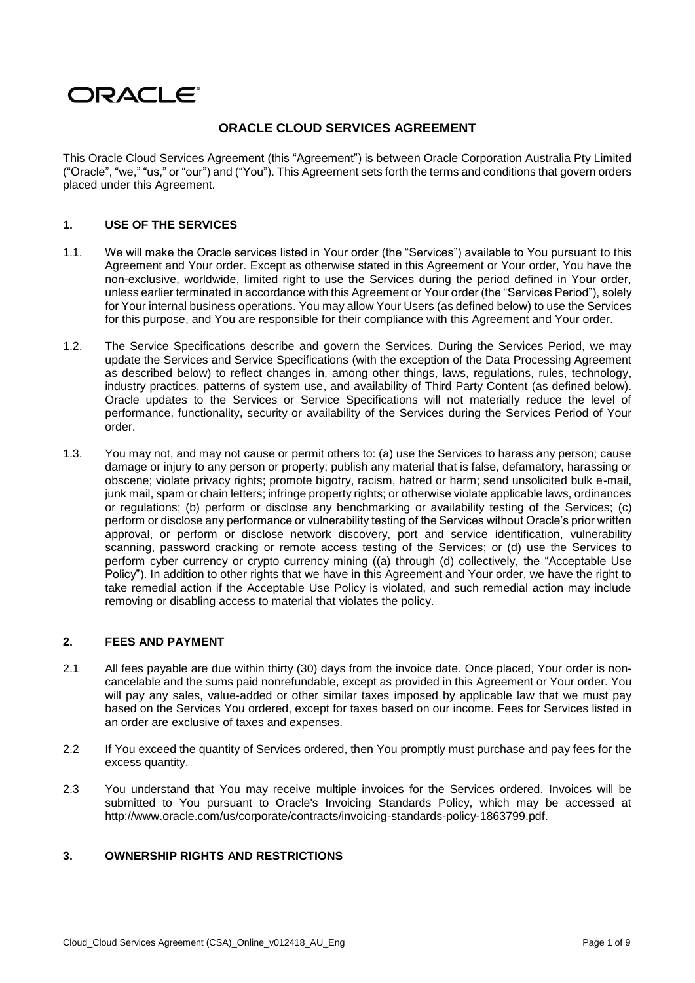# ORACLE®

## **ORACLE CLOUD SERVICES AGREEMENT**

This Oracle Cloud Services Agreement (this "Agreement") is between Oracle Corporation Australia Pty Limited ("Oracle", "we," "us," or "our") and ("You"). This Agreement sets forth the terms and conditions that govern orders placed under this Agreement.

## **1. USE OF THE SERVICES**

- 1.1. We will make the Oracle services listed in Your order (the "Services") available to You pursuant to this Agreement and Your order. Except as otherwise stated in this Agreement or Your order, You have the non-exclusive, worldwide, limited right to use the Services during the period defined in Your order, unless earlier terminated in accordance with this Agreement or Your order (the "Services Period"), solely for Your internal business operations. You may allow Your Users (as defined below) to use the Services for this purpose, and You are responsible for their compliance with this Agreement and Your order.
- 1.2. The Service Specifications describe and govern the Services. During the Services Period, we may update the Services and Service Specifications (with the exception of the Data Processing Agreement as described below) to reflect changes in, among other things, laws, regulations, rules, technology, industry practices, patterns of system use, and availability of Third Party Content (as defined below). Oracle updates to the Services or Service Specifications will not materially reduce the level of performance, functionality, security or availability of the Services during the Services Period of Your order.
- 1.3. You may not, and may not cause or permit others to: (a) use the Services to harass any person; cause damage or injury to any person or property; publish any material that is false, defamatory, harassing or obscene; violate privacy rights; promote bigotry, racism, hatred or harm; send unsolicited bulk e-mail, junk mail, spam or chain letters; infringe property rights; or otherwise violate applicable laws, ordinances or regulations; (b) perform or disclose any benchmarking or availability testing of the Services; (c) perform or disclose any performance or vulnerability testing of the Services without Oracle's prior written approval, or perform or disclose network discovery, port and service identification, vulnerability scanning, password cracking or remote access testing of the Services; or (d) use the Services to perform cyber currency or crypto currency mining ((a) through (d) collectively, the "Acceptable Use Policy"). In addition to other rights that we have in this Agreement and Your order, we have the right to take remedial action if the Acceptable Use Policy is violated, and such remedial action may include removing or disabling access to material that violates the policy.

## **2. FEES AND PAYMENT**

- 2.1 All fees payable are due within thirty (30) days from the invoice date. Once placed, Your order is noncancelable and the sums paid nonrefundable, except as provided in this Agreement or Your order. You will pay any sales, value-added or other similar taxes imposed by applicable law that we must pay based on the Services You ordered, except for taxes based on our income. Fees for Services listed in an order are exclusive of taxes and expenses.
- 2.2 If You exceed the quantity of Services ordered, then You promptly must purchase and pay fees for the excess quantity.
- 2.3 You understand that You may receive multiple invoices for the Services ordered. Invoices will be submitted to You pursuant to Oracle's Invoicing Standards Policy, which may be accessed at [http://www.oracle.com/us/corporate/contracts/invoicing-standards-policy-1863799.pdf.](http://www.oracle.com/us/corporate/contracts/invoicing-standards-policy-1863799.pdf)

## **3. OWNERSHIP RIGHTS AND RESTRICTIONS**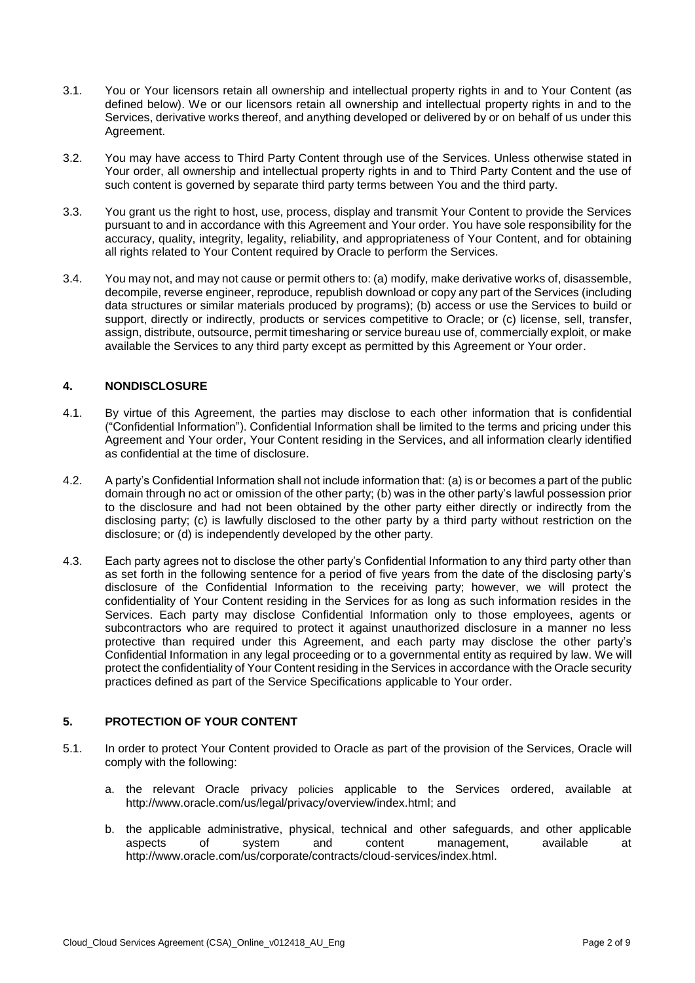- 3.1. You or Your licensors retain all ownership and intellectual property rights in and to Your Content (as defined below). We or our licensors retain all ownership and intellectual property rights in and to the Services, derivative works thereof, and anything developed or delivered by or on behalf of us under this Agreement.
- 3.2. You may have access to Third Party Content through use of the Services. Unless otherwise stated in Your order, all ownership and intellectual property rights in and to Third Party Content and the use of such content is governed by separate third party terms between You and the third party.
- 3.3. You grant us the right to host, use, process, display and transmit Your Content to provide the Services pursuant to and in accordance with this Agreement and Your order. You have sole responsibility for the accuracy, quality, integrity, legality, reliability, and appropriateness of Your Content, and for obtaining all rights related to Your Content required by Oracle to perform the Services.
- 3.4. You may not, and may not cause or permit others to: (a) modify, make derivative works of, disassemble, decompile, reverse engineer, reproduce, republish download or copy any part of the Services (including data structures or similar materials produced by programs); (b) access or use the Services to build or support, directly or indirectly, products or services competitive to Oracle; or (c) license, sell, transfer, assign, distribute, outsource, permit timesharing or service bureau use of, commercially exploit, or make available the Services to any third party except as permitted by this Agreement or Your order.

## **4. NONDISCLOSURE**

- 4.1. By virtue of this Agreement, the parties may disclose to each other information that is confidential ("Confidential Information"). Confidential Information shall be limited to the terms and pricing under this Agreement and Your order, Your Content residing in the Services, and all information clearly identified as confidential at the time of disclosure.
- 4.2. A party's Confidential Information shall not include information that: (a) is or becomes a part of the public domain through no act or omission of the other party; (b) was in the other party's lawful possession prior to the disclosure and had not been obtained by the other party either directly or indirectly from the disclosing party; (c) is lawfully disclosed to the other party by a third party without restriction on the disclosure; or (d) is independently developed by the other party.
- 4.3. Each party agrees not to disclose the other party's Confidential Information to any third party other than as set forth in the following sentence for a period of five years from the date of the disclosing party's disclosure of the Confidential Information to the receiving party; however, we will protect the confidentiality of Your Content residing in the Services for as long as such information resides in the Services. Each party may disclose Confidential Information only to those employees, agents or subcontractors who are required to protect it against unauthorized disclosure in a manner no less protective than required under this Agreement, and each party may disclose the other party's Confidential Information in any legal proceeding or to a governmental entity as required by law. We will protect the confidentiality of Your Content residing in the Services in accordance with the Oracle security practices defined as part of the Service Specifications applicable to Your order.

## **5. PROTECTION OF YOUR CONTENT**

- 5.1. In order to protect Your Content provided to Oracle as part of the provision of the Services, Oracle will comply with the following:
	- a. the relevant Oracle privacy policies applicable to the Services ordered, available at [http://www.oracle.com/us/legal/privacy/overview/index.html;](http://www.oracle.com/us/legal/privacy/overview/index.html) and
	- b. the applicable administrative, physical, technical and other safeguards, and other applicable aspects of system and content management, available at [http://www.oracle.com/us/corporate/contracts/cloud-services/index.html.](http://www.oracle.com/us/corporate/contracts/cloud-services/index.html)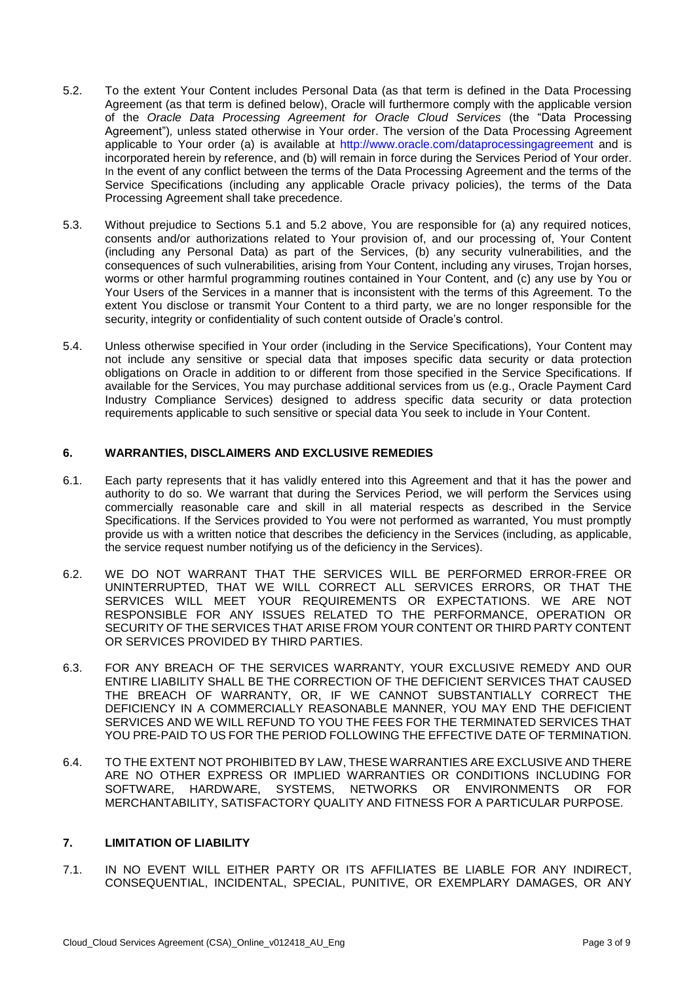- 5.2. To the extent Your Content includes Personal Data (as that term is defined in the Data Processing Agreement (as that term is defined below), Oracle will furthermore comply with the applicable version of the *Oracle Data Processing Agreement for Oracle Cloud Services* (the "Data Processing Agreement")*,* unless stated otherwise in Your order. The version of the Data Processing Agreement applicable to Your order (a) is available at<http://www.oracle.com/dataprocessingagreement> and is incorporated herein by reference, and (b) will remain in force during the Services Period of Your order. In the event of any conflict between the terms of the Data Processing Agreement and the terms of the Service Specifications (including any applicable Oracle privacy policies), the terms of the Data Processing Agreement shall take precedence.
- 5.3. Without prejudice to Sections 5.1 and 5.2 above, You are responsible for (a) any required notices, consents and/or authorizations related to Your provision of, and our processing of, Your Content (including any Personal Data) as part of the Services, (b) any security vulnerabilities, and the consequences of such vulnerabilities, arising from Your Content, including any viruses, Trojan horses, worms or other harmful programming routines contained in Your Content, and (c) any use by You or Your Users of the Services in a manner that is inconsistent with the terms of this Agreement. To the extent You disclose or transmit Your Content to a third party, we are no longer responsible for the security, integrity or confidentiality of such content outside of Oracle's control.
- 5.4. Unless otherwise specified in Your order (including in the Service Specifications), Your Content may not include any sensitive or special data that imposes specific data security or data protection obligations on Oracle in addition to or different from those specified in the Service Specifications. If available for the Services, You may purchase additional services from us (e.g., Oracle Payment Card Industry Compliance Services) designed to address specific data security or data protection requirements applicable to such sensitive or special data You seek to include in Your Content.

## **6. WARRANTIES, DISCLAIMERS AND EXCLUSIVE REMEDIES**

- 6.1. Each party represents that it has validly entered into this Agreement and that it has the power and authority to do so. We warrant that during the Services Period, we will perform the Services using commercially reasonable care and skill in all material respects as described in the Service Specifications. If the Services provided to You were not performed as warranted, You must promptly provide us with a written notice that describes the deficiency in the Services (including, as applicable, the service request number notifying us of the deficiency in the Services).
- 6.2. WE DO NOT WARRANT THAT THE SERVICES WILL BE PERFORMED ERROR-FREE OR UNINTERRUPTED, THAT WE WILL CORRECT ALL SERVICES ERRORS, OR THAT THE SERVICES WILL MEET YOUR REQUIREMENTS OR EXPECTATIONS. WE ARE NOT RESPONSIBLE FOR ANY ISSUES RELATED TO THE PERFORMANCE, OPERATION OR SECURITY OF THE SERVICES THAT ARISE FROM YOUR CONTENT OR THIRD PARTY CONTENT OR SERVICES PROVIDED BY THIRD PARTIES.
- 6.3. FOR ANY BREACH OF THE SERVICES WARRANTY, YOUR EXCLUSIVE REMEDY AND OUR ENTIRE LIABILITY SHALL BE THE CORRECTION OF THE DEFICIENT SERVICES THAT CAUSED THE BREACH OF WARRANTY, OR, IF WE CANNOT SUBSTANTIALLY CORRECT THE DEFICIENCY IN A COMMERCIALLY REASONABLE MANNER, YOU MAY END THE DEFICIENT SERVICES AND WE WILL REFUND TO YOU THE FEES FOR THE TERMINATED SERVICES THAT YOU PRE-PAID TO US FOR THE PERIOD FOLLOWING THE EFFECTIVE DATE OF TERMINATION.
- 6.4. TO THE EXTENT NOT PROHIBITED BY LAW, THESE WARRANTIES ARE EXCLUSIVE AND THERE ARE NO OTHER EXPRESS OR IMPLIED WARRANTIES OR CONDITIONS INCLUDING FOR SOFTWARE, HARDWARE, SYSTEMS, NETWORKS OR ENVIRONMENTS OR FOR MERCHANTABILITY, SATISFACTORY QUALITY AND FITNESS FOR A PARTICULAR PURPOSE.

#### **7. LIMITATION OF LIABILITY**

7.1. IN NO EVENT WILL EITHER PARTY OR ITS AFFILIATES BE LIABLE FOR ANY INDIRECT, CONSEQUENTIAL, INCIDENTAL, SPECIAL, PUNITIVE, OR EXEMPLARY DAMAGES, OR ANY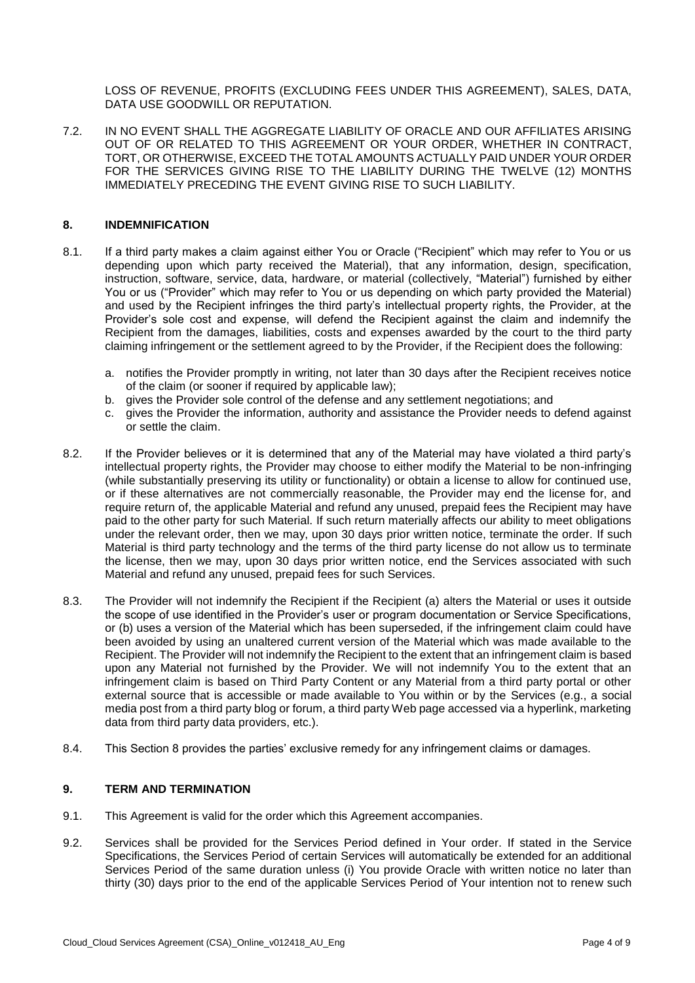LOSS OF REVENUE, PROFITS (EXCLUDING FEES UNDER THIS AGREEMENT), SALES, DATA, DATA USE GOODWILL OR REPUTATION.

7.2. IN NO EVENT SHALL THE AGGREGATE LIABILITY OF ORACLE AND OUR AFFILIATES ARISING OUT OF OR RELATED TO THIS AGREEMENT OR YOUR ORDER, WHETHER IN CONTRACT, TORT, OR OTHERWISE, EXCEED THE TOTAL AMOUNTS ACTUALLY PAID UNDER YOUR ORDER FOR THE SERVICES GIVING RISE TO THE LIABILITY DURING THE TWELVE (12) MONTHS IMMEDIATELY PRECEDING THE EVENT GIVING RISE TO SUCH LIABILITY.

#### **8. INDEMNIFICATION**

- 8.1. If a third party makes a claim against either You or Oracle ("Recipient" which may refer to You or us depending upon which party received the Material), that any information, design, specification, instruction, software, service, data, hardware, or material (collectively, "Material") furnished by either You or us ("Provider" which may refer to You or us depending on which party provided the Material) and used by the Recipient infringes the third party's intellectual property rights, the Provider, at the Provider's sole cost and expense, will defend the Recipient against the claim and indemnify the Recipient from the damages, liabilities, costs and expenses awarded by the court to the third party claiming infringement or the settlement agreed to by the Provider, if the Recipient does the following:
	- a. notifies the Provider promptly in writing, not later than 30 days after the Recipient receives notice of the claim (or sooner if required by applicable law);
	- b. gives the Provider sole control of the defense and any settlement negotiations; and
	- c. gives the Provider the information, authority and assistance the Provider needs to defend against or settle the claim.
- 8.2. If the Provider believes or it is determined that any of the Material may have violated a third party's intellectual property rights, the Provider may choose to either modify the Material to be non-infringing (while substantially preserving its utility or functionality) or obtain a license to allow for continued use, or if these alternatives are not commercially reasonable, the Provider may end the license for, and require return of, the applicable Material and refund any unused, prepaid fees the Recipient may have paid to the other party for such Material. If such return materially affects our ability to meet obligations under the relevant order, then we may, upon 30 days prior written notice, terminate the order. If such Material is third party technology and the terms of the third party license do not allow us to terminate the license, then we may, upon 30 days prior written notice, end the Services associated with such Material and refund any unused, prepaid fees for such Services.
- 8.3. The Provider will not indemnify the Recipient if the Recipient (a) alters the Material or uses it outside the scope of use identified in the Provider's user or program documentation or Service Specifications, or (b) uses a version of the Material which has been superseded, if the infringement claim could have been avoided by using an unaltered current version of the Material which was made available to the Recipient. The Provider will not indemnify the Recipient to the extent that an infringement claim is based upon any Material not furnished by the Provider. We will not indemnify You to the extent that an infringement claim is based on Third Party Content or any Material from a third party portal or other external source that is accessible or made available to You within or by the Services (e.g., a social media post from a third party blog or forum, a third party Web page accessed via a hyperlink, marketing data from third party data providers, etc.).
- 8.4. This Section 8 provides the parties' exclusive remedy for any infringement claims or damages.

#### **9. TERM AND TERMINATION**

- 9.1. This Agreement is valid for the order which this Agreement accompanies.
- 9.2. Services shall be provided for the Services Period defined in Your order. If stated in the Service Specifications, the Services Period of certain Services will automatically be extended for an additional Services Period of the same duration unless (i) You provide Oracle with written notice no later than thirty (30) days prior to the end of the applicable Services Period of Your intention not to renew such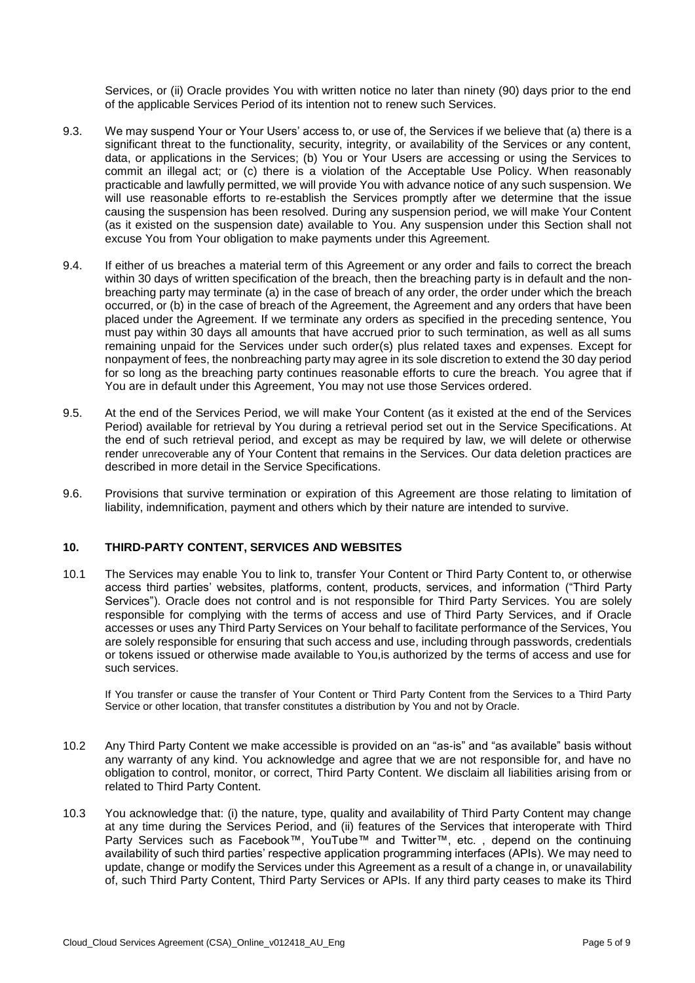Services, or (ii) Oracle provides You with written notice no later than ninety (90) days prior to the end of the applicable Services Period of its intention not to renew such Services.

- 9.3. We may suspend Your or Your Users' access to, or use of, the Services if we believe that (a) there is a significant threat to the functionality, security, integrity, or availability of the Services or any content, data, or applications in the Services; (b) You or Your Users are accessing or using the Services to commit an illegal act; or (c) there is a violation of the Acceptable Use Policy. When reasonably practicable and lawfully permitted, we will provide You with advance notice of any such suspension. We will use reasonable efforts to re-establish the Services promptly after we determine that the issue causing the suspension has been resolved. During any suspension period, we will make Your Content (as it existed on the suspension date) available to You. Any suspension under this Section shall not excuse You from Your obligation to make payments under this Agreement.
- 9.4. If either of us breaches a material term of this Agreement or any order and fails to correct the breach within 30 days of written specification of the breach, then the breaching party is in default and the nonbreaching party may terminate (a) in the case of breach of any order, the order under which the breach occurred, or (b) in the case of breach of the Agreement, the Agreement and any orders that have been placed under the Agreement. If we terminate any orders as specified in the preceding sentence, You must pay within 30 days all amounts that have accrued prior to such termination, as well as all sums remaining unpaid for the Services under such order(s) plus related taxes and expenses. Except for nonpayment of fees, the nonbreaching party may agree in its sole discretion to extend the 30 day period for so long as the breaching party continues reasonable efforts to cure the breach. You agree that if You are in default under this Agreement, You may not use those Services ordered.
- 9.5. At the end of the Services Period, we will make Your Content (as it existed at the end of the Services Period) available for retrieval by You during a retrieval period set out in the Service Specifications. At the end of such retrieval period, and except as may be required by law, we will delete or otherwise render unrecoverable any of Your Content that remains in the Services. Our data deletion practices are described in more detail in the Service Specifications.
- 9.6. Provisions that survive termination or expiration of this Agreement are those relating to limitation of liability, indemnification, payment and others which by their nature are intended to survive.

## **10. THIRD-PARTY CONTENT, SERVICES AND WEBSITES**

10.1 The Services may enable You to link to, transfer Your Content or Third Party Content to, or otherwise access third parties' websites, platforms, content, products, services, and information ("Third Party Services"). Oracle does not control and is not responsible for Third Party Services. You are solely responsible for complying with the terms of access and use of Third Party Services, and if Oracle accesses or uses any Third Party Services on Your behalf to facilitate performance of the Services, You are solely responsible for ensuring that such access and use, including through passwords, credentials or tokens issued or otherwise made available to You,is authorized by the terms of access and use for such services.

If You transfer or cause the transfer of Your Content or Third Party Content from the Services to a Third Party Service or other location, that transfer constitutes a distribution by You and not by Oracle.

- 10.2 Any Third Party Content we make accessible is provided on an "as-is" and "as available" basis without any warranty of any kind. You acknowledge and agree that we are not responsible for, and have no obligation to control, monitor, or correct, Third Party Content. We disclaim all liabilities arising from or related to Third Party Content.
- 10.3 You acknowledge that: (i) the nature, type, quality and availability of Third Party Content may change at any time during the Services Period, and (ii) features of the Services that interoperate with Third Party Services such as Facebook™, YouTube™ and Twitter™, etc. , depend on the continuing availability of such third parties' respective application programming interfaces (APIs). We may need to update, change or modify the Services under this Agreement as a result of a change in, or unavailability of, such Third Party Content, Third Party Services or APIs. If any third party ceases to make its Third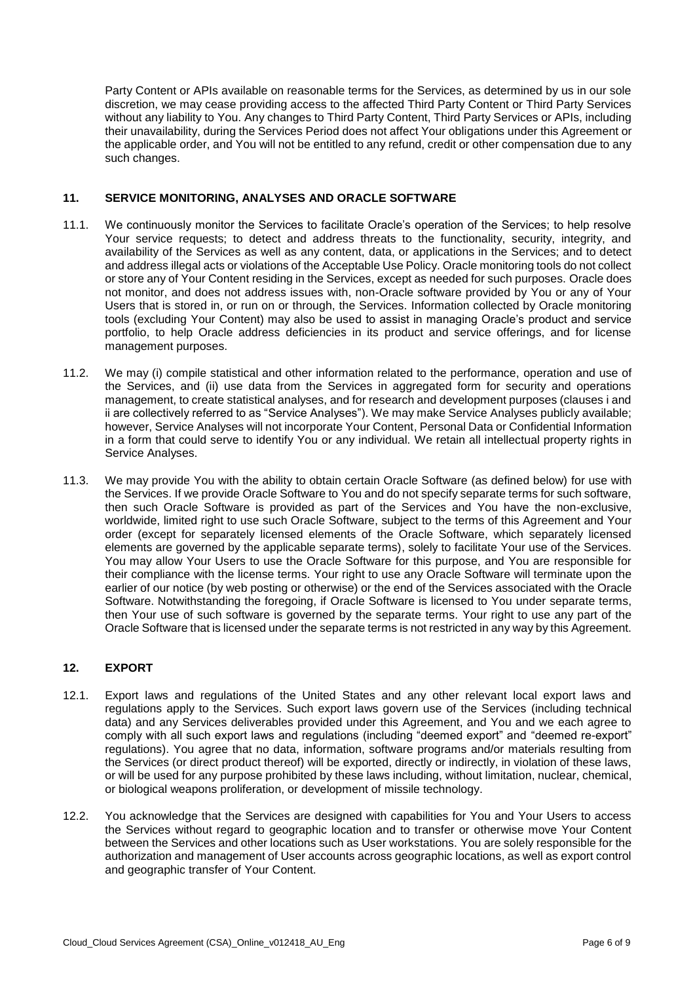Party Content or APIs available on reasonable terms for the Services, as determined by us in our sole discretion, we may cease providing access to the affected Third Party Content or Third Party Services without any liability to You. Any changes to Third Party Content, Third Party Services or APIs, including their unavailability, during the Services Period does not affect Your obligations under this Agreement or the applicable order, and You will not be entitled to any refund, credit or other compensation due to any such changes.

## **11. SERVICE MONITORING, ANALYSES AND ORACLE SOFTWARE**

- 11.1. We continuously monitor the Services to facilitate Oracle's operation of the Services; to help resolve Your service requests; to detect and address threats to the functionality, security, integrity, and availability of the Services as well as any content, data, or applications in the Services; and to detect and address illegal acts or violations of the Acceptable Use Policy. Oracle monitoring tools do not collect or store any of Your Content residing in the Services, except as needed for such purposes. Oracle does not monitor, and does not address issues with, non-Oracle software provided by You or any of Your Users that is stored in, or run on or through, the Services. Information collected by Oracle monitoring tools (excluding Your Content) may also be used to assist in managing Oracle's product and service portfolio, to help Oracle address deficiencies in its product and service offerings, and for license management purposes.
- 11.2. We may (i) compile statistical and other information related to the performance, operation and use of the Services, and (ii) use data from the Services in aggregated form for security and operations management, to create statistical analyses, and for research and development purposes (clauses i and ii are collectively referred to as "Service Analyses"). We may make Service Analyses publicly available; however, Service Analyses will not incorporate Your Content, Personal Data or Confidential Information in a form that could serve to identify You or any individual. We retain all intellectual property rights in Service Analyses.
- 11.3. We may provide You with the ability to obtain certain Oracle Software (as defined below) for use with the Services. If we provide Oracle Software to You and do not specify separate terms for such software, then such Oracle Software is provided as part of the Services and You have the non-exclusive, worldwide, limited right to use such Oracle Software, subject to the terms of this Agreement and Your order (except for separately licensed elements of the Oracle Software, which separately licensed elements are governed by the applicable separate terms), solely to facilitate Your use of the Services. You may allow Your Users to use the Oracle Software for this purpose, and You are responsible for their compliance with the license terms. Your right to use any Oracle Software will terminate upon the earlier of our notice (by web posting or otherwise) or the end of the Services associated with the Oracle Software. Notwithstanding the foregoing, if Oracle Software is licensed to You under separate terms, then Your use of such software is governed by the separate terms. Your right to use any part of the Oracle Software that is licensed under the separate terms is not restricted in any way by this Agreement.

## **12. EXPORT**

- 12.1. Export laws and regulations of the United States and any other relevant local export laws and regulations apply to the Services. Such export laws govern use of the Services (including technical data) and any Services deliverables provided under this Agreement, and You and we each agree to comply with all such export laws and regulations (including "deemed export" and "deemed re-export" regulations). You agree that no data, information, software programs and/or materials resulting from the Services (or direct product thereof) will be exported, directly or indirectly, in violation of these laws, or will be used for any purpose prohibited by these laws including, without limitation, nuclear, chemical, or biological weapons proliferation, or development of missile technology.
- 12.2. You acknowledge that the Services are designed with capabilities for You and Your Users to access the Services without regard to geographic location and to transfer or otherwise move Your Content between the Services and other locations such as User workstations. You are solely responsible for the authorization and management of User accounts across geographic locations, as well as export control and geographic transfer of Your Content.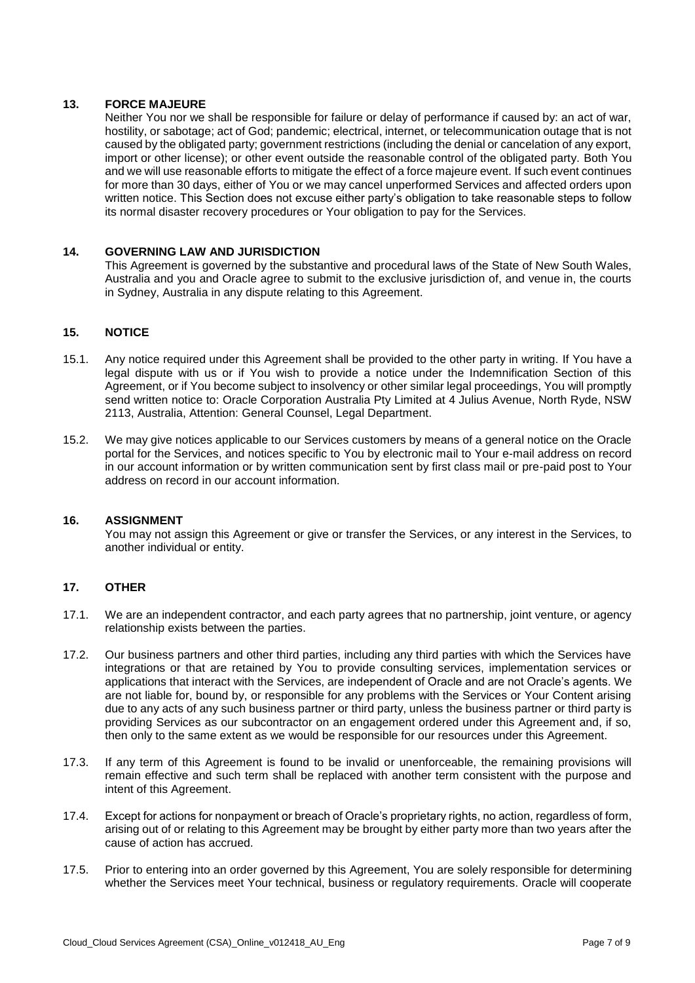## **13. FORCE MAJEURE**

Neither You nor we shall be responsible for failure or delay of performance if caused by: an act of war, hostility, or sabotage; act of God; pandemic; electrical, internet, or telecommunication outage that is not caused by the obligated party; government restrictions (including the denial or cancelation of any export, import or other license); or other event outside the reasonable control of the obligated party. Both You and we will use reasonable efforts to mitigate the effect of a force majeure event. If such event continues for more than 30 days, either of You or we may cancel unperformed Services and affected orders upon written notice. This Section does not excuse either party's obligation to take reasonable steps to follow its normal disaster recovery procedures or Your obligation to pay for the Services.

## **14. GOVERNING LAW AND JURISDICTION**

This Agreement is governed by the substantive and procedural laws of the State of New South Wales, Australia and you and Oracle agree to submit to the exclusive jurisdiction of, and venue in, the courts in Sydney, Australia in any dispute relating to this Agreement.

#### **15. NOTICE**

- 15.1. Any notice required under this Agreement shall be provided to the other party in writing. If You have a legal dispute with us or if You wish to provide a notice under the Indemnification Section of this Agreement, or if You become subject to insolvency or other similar legal proceedings, You will promptly send written notice to: Oracle Corporation Australia Pty Limited at 4 Julius Avenue, North Ryde, NSW 2113, Australia, Attention: General Counsel, Legal Department.
- 15.2. We may give notices applicable to our Services customers by means of a general notice on the Oracle portal for the Services, and notices specific to You by electronic mail to Your e-mail address on record in our account information or by written communication sent by first class mail or pre-paid post to Your address on record in our account information.

## **16. ASSIGNMENT**

You may not assign this Agreement or give or transfer the Services, or any interest in the Services, to another individual or entity.

## **17. OTHER**

- 17.1. We are an independent contractor, and each party agrees that no partnership, joint venture, or agency relationship exists between the parties.
- 17.2. Our business partners and other third parties, including any third parties with which the Services have integrations or that are retained by You to provide consulting services, implementation services or applications that interact with the Services, are independent of Oracle and are not Oracle's agents. We are not liable for, bound by, or responsible for any problems with the Services or Your Content arising due to any acts of any such business partner or third party, unless the business partner or third party is providing Services as our subcontractor on an engagement ordered under this Agreement and, if so, then only to the same extent as we would be responsible for our resources under this Agreement.
- 17.3. If any term of this Agreement is found to be invalid or unenforceable, the remaining provisions will remain effective and such term shall be replaced with another term consistent with the purpose and intent of this Agreement.
- 17.4. Except for actions for nonpayment or breach of Oracle's proprietary rights, no action, regardless of form, arising out of or relating to this Agreement may be brought by either party more than two years after the cause of action has accrued.
- 17.5. Prior to entering into an order governed by this Agreement, You are solely responsible for determining whether the Services meet Your technical, business or regulatory requirements. Oracle will cooperate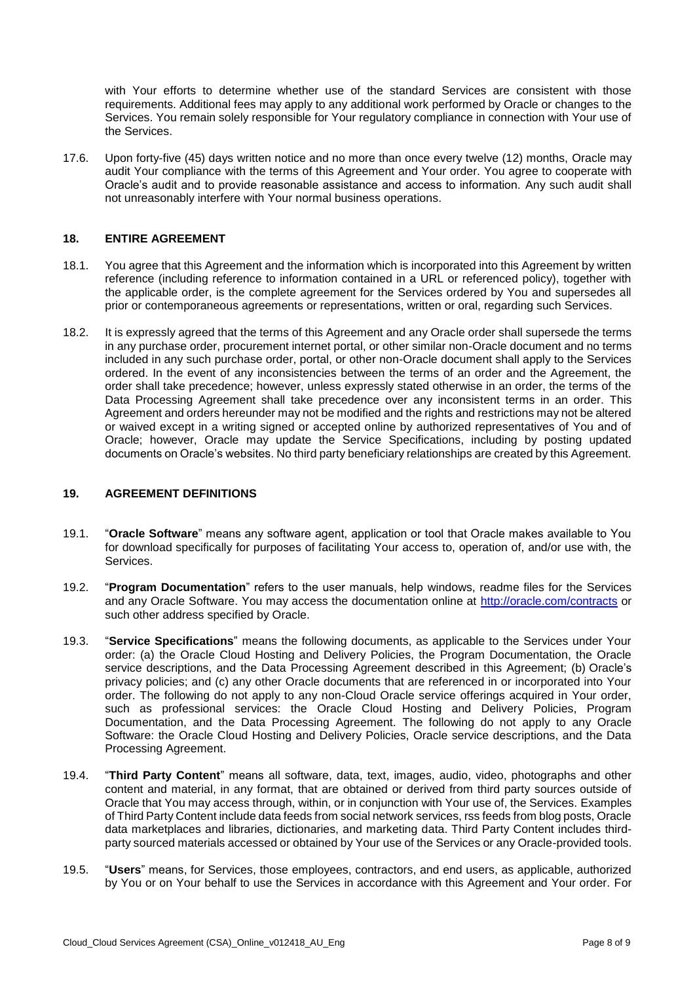with Your efforts to determine whether use of the standard Services are consistent with those requirements. Additional fees may apply to any additional work performed by Oracle or changes to the Services. You remain solely responsible for Your regulatory compliance in connection with Your use of the Services.

17.6. Upon forty-five (45) days written notice and no more than once every twelve (12) months, Oracle may audit Your compliance with the terms of this Agreement and Your order. You agree to cooperate with Oracle's audit and to provide reasonable assistance and access to information. Any such audit shall not unreasonably interfere with Your normal business operations.

#### **18. ENTIRE AGREEMENT**

- 18.1. You agree that this Agreement and the information which is incorporated into this Agreement by written reference (including reference to information contained in a URL or referenced policy), together with the applicable order, is the complete agreement for the Services ordered by You and supersedes all prior or contemporaneous agreements or representations, written or oral, regarding such Services.
- 18.2. It is expressly agreed that the terms of this Agreement and any Oracle order shall supersede the terms in any purchase order, procurement internet portal, or other similar non-Oracle document and no terms included in any such purchase order, portal, or other non-Oracle document shall apply to the Services ordered. In the event of any inconsistencies between the terms of an order and the Agreement, the order shall take precedence; however, unless expressly stated otherwise in an order, the terms of the Data Processing Agreement shall take precedence over any inconsistent terms in an order. This Agreement and orders hereunder may not be modified and the rights and restrictions may not be altered or waived except in a writing signed or accepted online by authorized representatives of You and of Oracle; however, Oracle may update the Service Specifications, including by posting updated documents on Oracle's websites. No third party beneficiary relationships are created by this Agreement.

#### **19. AGREEMENT DEFINITIONS**

- 19.1. "**Oracle Software**" means any software agent, application or tool that Oracle makes available to You for download specifically for purposes of facilitating Your access to, operation of, and/or use with, the Services.
- 19.2. "**Program Documentation**" refers to the user manuals, help windows, readme files for the Services and any Oracle Software. You may access the documentation online at<http://oracle.com/contracts> or such other address specified by Oracle.
- 19.3. "**Service Specifications**" means the following documents, as applicable to the Services under Your order: (a) the Oracle Cloud Hosting and Delivery Policies, the Program Documentation, the Oracle service descriptions, and the Data Processing Agreement described in this Agreement; (b) Oracle's privacy policies; and (c) any other Oracle documents that are referenced in or incorporated into Your order. The following do not apply to any non-Cloud Oracle service offerings acquired in Your order, such as professional services: the Oracle Cloud Hosting and Delivery Policies, Program Documentation, and the Data Processing Agreement. The following do not apply to any Oracle Software: the Oracle Cloud Hosting and Delivery Policies, Oracle service descriptions, and the Data Processing Agreement.
- 19.4. "**Third Party Content**" means all software, data, text, images, audio, video, photographs and other content and material, in any format, that are obtained or derived from third party sources outside of Oracle that You may access through, within, or in conjunction with Your use of, the Services. Examples of Third Party Content include data feeds from social network services, rss feeds from blog posts, Oracle data marketplaces and libraries, dictionaries, and marketing data. Third Party Content includes thirdparty sourced materials accessed or obtained by Your use of the Services or any Oracle-provided tools.
- 19.5. "**Users**" means, for Services, those employees, contractors, and end users, as applicable, authorized by You or on Your behalf to use the Services in accordance with this Agreement and Your order. For